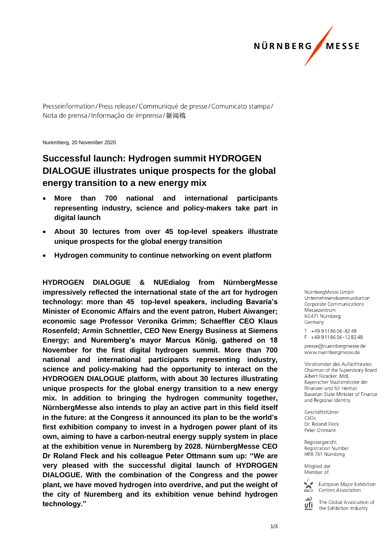

Presseinformation/Press release/Communiqué de presse/Comunicato stampa/ Nota de prensa/Informacão de imprensa/新闻稿

Nuremberg, 20 November 2020

## **Successful launch: Hydrogen summit HYDROGEN DIALOGUE illustrates unique prospects for the global energy transition to a new energy mix**

- **More than 700 national and international participants representing industry, science and policy-makers take part in digital launch**
- **About 30 lectures from over 45 top-level speakers illustrate unique prospects for the global energy transition**
- **Hydrogen community to continue networking on event platform**

**HYDROGEN DIALOGUE & NUEdialog from NürnbergMesse impressively reflected the international state of the art for hydrogen technology: more than 45 top-level speakers, including Bavaria's Minister of Economic Affairs and the event patron, Hubert Aiwanger; economic sage Professor Veronika Grimm; Schaeffler CEO Klaus Rosenfeld; Armin Schnettler, CEO New Energy Business at Siemens Energy; and Nuremberg's mayor Marcus König, gathered on 18 November for the first digital hydrogen summit. More than 700 national and international participants representing industry, science and policy-making had the opportunity to interact on the HYDROGEN DIALOGUE platform, with about 30 lectures illustrating unique prospects for the global energy transition to a new energy mix. In addition to bringing the hydrogen community together, NürnbergMesse also intends to play an active part in this field itself in the future: at the Congress it announced its plan to be the world's first exhibition company to invest in a hydrogen power plant of its own, aiming to have a carbon-neutral energy supply system in place at the exhibition venue in Nuremberg by 2028. NürnbergMesse CEO Dr Roland Fleck and his colleague Peter Ottmann sum up: "We are very pleased with the successful digital launch of HYDROGEN DIALOGUE. With the combination of the Congress and the power plant, we have moved hydrogen into overdrive, and put the weight of the city of Nuremberg and its exhibition venue behind hydrogen technology."** 

NürnbergMesse GmbH Unternehmenskommunikation Corporate Communications Messezentrum 90471 Nürnberg Germany

T +49 911 86 06 - 82 48  $F + 499118606 - 128248$ 

presse@nuernbergmesse.de www.nuernberamesse.de

Vorsitzender des Aufsichtsrates Chairman of the Supervisory Board Albert Füracker, MdI Bayerischer Staatsminister der Finanzen und für Heimat Bavarian State Minister of Finance and Regional Identity

Geschäftsführer  $CFOs$ Dr. Roland Fleck Peter Ottmann

Registergericht **Registration Number** HRB 761 Nürnberg

Mitglied der Member of



European Major Exhibition Centres Association

The Global Association of ufi the Exhibition Industry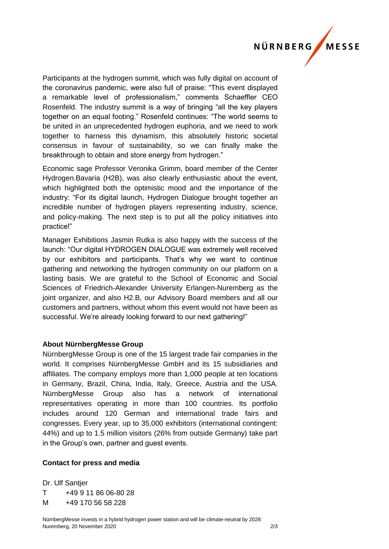

Participants at the hydrogen summit, which was fully digital on account of the coronavirus pandemic, were also full of praise: "This event displayed a remarkable level of professionalism," comments Schaeffler CEO Rosenfeld. The industry summit is a way of bringing "all the key players together on an equal footing." Rosenfeld continues: "The world seems to be united in an unprecedented hydrogen euphoria, and we need to work together to harness this dynamism, this absolutely historic societal consensus in favour of sustainability, so we can finally make the breakthrough to obtain and store energy from hydrogen."

Economic sage Professor Veronika Grimm, board member of the Center Hydrogen.Bavaria (H2B), was also clearly enthusiastic about the event, which highlighted both the optimistic mood and the importance of the industry: "For its digital launch, Hydrogen Dialogue brought together an incredible number of hydrogen players representing industry, science, and policy-making. The next step is to put all the policy initiatives into practice!"

Manager Exhibitions Jasmin Rutka is also happy with the success of the launch: "Our digital HYDROGEN DIALOGUE was extremely well received by our exhibitors and participants. That's why we want to continue gathering and networking the hydrogen community on our platform on a lasting basis. We are grateful to the School of Economic and Social Sciences of Friedrich-Alexander University Erlangen-Nuremberg as the joint organizer, and also H2.B, our Advisory Board members and all our customers and partners, without whom this event would not have been as successful. We're already looking forward to our next gathering!"

## **About NürnbergMesse Group**

NürnbergMesse Group is one of the 15 largest trade fair companies in the world. It comprises NürnbergMesse GmbH and its 15 subsidiaries and affiliates. The company employs more than 1,000 people at ten locations in Germany, Brazil, China, India, Italy, Greece, Austria and the USA. NürnbergMesse Group also has a network of international representatives operating in more than 100 countries. Its portfolio includes around 120 German and international trade fairs and congresses. Every year, up to 35,000 exhibitors (international contingent: 44%) and up to 1.5 million visitors (26% from outside Germany) take part in the Group's own, partner and guest events.

## **Contact for press and media**

Dr. Ulf Santier T +49 9 11 86 06-80 28

M +49 170 56 58 228